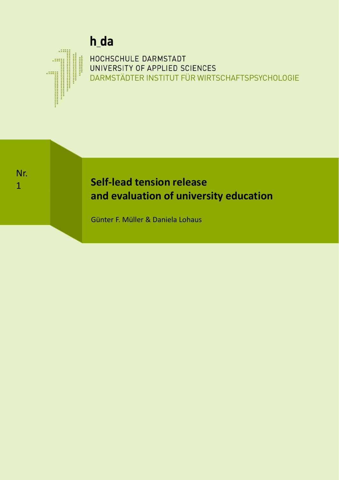# h\_da

# **DARMSTÄDTER INSTITUT FÜR WIRTSCHAFTSPSYCHOLOGIE** HOCHSCHULE DARMSTADT UNIVERSITY OF APPLIED SCIENCES

Nr. 1

# **Self-lead tension release and evaluation of university education**

Günter F. Müller & Daniela Lohaus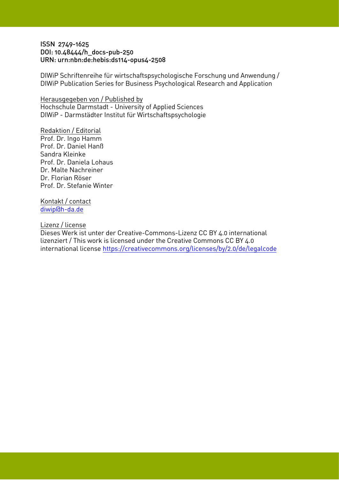## ISSN 2749-1625 DOI: 10.48444/h\_docs-pub-250 URN: urn:nbn:de:hebis:ds114-opus4-2508

DIWiP Schriftenreihe für wirtschaftspsychologische Forschung und Anwendung / DIWiP Publication Series for Business Psychological Research and Application

Herausgegeben von / Published by Hochschule Darmstadt - University of Applied Sciences DIWiP - Darmstädter Institut für Wirtschaftspsychologie

Redaktion / Editorial Prof. Dr. Ingo Hamm Prof. Dr. Daniel Hanß Sandra Kleinke Prof. Dr. Daniela Lohaus Dr. Malte Nachreiner Dr. Florian Röser Prof. Dr. Stefanie Winter

Kontakt / contact [diwip@h-da.de](mailto:diwip@h-da.de)

## Lizenz / license

Dieses Werk ist unter der Creative-Commons-Lizenz CC BY 4.0 international lizenziert / This work is licensed under the Creative Commons CC BY 4.0 [international license https://creativecommons.org/lice](https://creativecommons.org/licenses/by/2.0/de/legalcode)nses/by/2.0/de/legalcode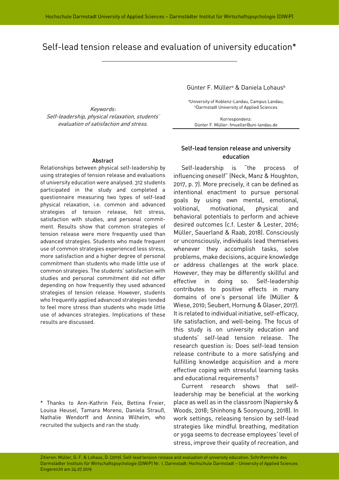# Self-lead tension release and evaluation of university education\*

\_\_\_\_\_\_\_\_\_\_\_\_\_\_\_\_\_\_\_\_\_\_\_\_\_\_\_\_\_\_\_\_\_\_\_\_\_\_\_\_\_

Keywords: Self-leadership, physical relaxation, students' evaluation of satisfaction and stress.

#### Abstract

Relationships between physical self-leadership by using strategies of tension release and evaluations of university education were analysed. 312 students participated in the study and completed a questionnaire measuring two types of self-lead physical relaxation, i.e. common and advanced strategies of tension release, felt stress, satisfaction with studies, and personal commitment. Results show that common strategies of tension release were more frequently used than advanced strategies. Students who made frequent use of common strategies experienced less stress, more satisfaction and a higher degree of personal commitment than students who made little use of common strategies. The students' satisfaction with studies and personal commitment did not differ depending on how frequently they used advanced strategies of tension release. However, students who frequently applied advanced strategies tended to feel more stress than students who made little use of advances strategies. Implications of these results are discussed.

\* Thanks to Ann-Kathrin Feix, Bettina Freier, Louisa Heusel, Tamara Moreno, Daniela Strauß, Nathalie Wendorff and Annina Wilhelm, who recruited the subjects and ran the study.

Günter F. Müllera & Daniela Lohausb

aUniversity of Koblenz-Landau, Campus Landau; bDarmstadt University of Applied Sciences

Korrespondenz: Günter F. Müller: fmueller@uni-landau.de

## Self-lead tension release and university education

Self-leadership is "the process of influencing oneself" (Neck, Manz & Houghton, 2017, p. 7). More precisely, it can be defined as intentional enactment to pursue personal goals by using own mental, emotional, volitional, motivational, physical and behavioral potentials to perform and achieve desired outcomes (c.f. Lester & Lester, 2016; Müller, Sauerland & Raab, 2018). Consciously or unconsciously, individuals lead themselves whenever they accomplish tasks, solve problems, make decisions, acquire knowledge or address challenges at the work place. However, they may be differently skillful and effective in doing so. Self-leadership contributes to positive effects in many domains of one's personal life (Müller & Wiese, 2010; Seubert, Hornung & Glaser, 2017). It is related to individual initiative, self-efficacy, life satisfaction, and well-being. The focus of this study is on university education and students' self-lead tension release. The research question is: Does self-lead tension release contribute to a more satisfying and fulfilling knowledge acquisition and a more effective coping with stressful learning tasks and educational requirements?

Current research shows that selfleadership may be beneficial at the working place as well as in the classroom (Napiersky & Woods, 2018; Shinhong & Soonyoung, 2018). In work settings, releasing tension by self-lead strategies like mindful breathing, meditation or yoga seems to decrease employees' level of stress, improve their quality of recreation, and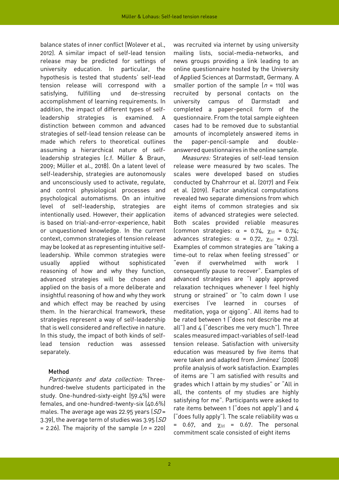balance states of inner conflict (Wolever et al., 2012). A similar impact of self-lead tension release may be predicted for settings of university education. In particular, the hypothesis is tested that students' self-lead tension release will correspond with a satisfying, fulfilling und de-stressing accomplishment of learning requirements. In addition, the impact of different types of selfleadership strategies is examined. A distinction between common and advanced strategies of self-lead tension release can be made which refers to theoretical outlines assuming a hierarchical nature of selfleadership strategies (c.f. Müller & Braun, 2009; Müller et al., 2018). On a latent level of self-leadership, strategies are autonomously and unconsciously used to activate, regulate, and control physiological processes and psychological automatisms. On an intuitive level of self-leadership, strategies are intentionally used. However, their application is based on trial-and-error-experience, habit or unquestioned knowledge. In the current context, common strategies of tension release may be looked at as representing intuitive selfleadership. While common strategies were usually applied without sophisticated reasoning of how and why they function, advanced strategies will be chosen and applied on the basis of a more deliberate and insightful reasoning of how and why they work and which effect may be reached by using them. In the hierarchical framework, these strategies represent a way of self-leadership that is well considered and reflective in nature. In this study, the impact of both kinds of selflead tension reduction was assessed separately.

#### Method

Participants and data collection: Threehundred-twelve students participated in the study. One-hundred-sixty-eight (59.4%) were females, and one-hundred-twenty-six (40.6%) males. The average age was 22.95 years  $(SD =$ 3.39), the average term of studies was 3.95 (SD = 2.26). The majority of the sample  $(n = 220)$ 

was recruited via internet by using university mailing lists, social-media-networks, and news groups providing a link leading to an online questionnaire hosted by the University of Applied Sciences at Darmstadt, Germany. A smaller portion of the sample  $(n = 110)$  was recruited by personal contacts on the university campus of Darmstadt and completed a paper-pencil form of the questionnaire. From the total sample eighteen cases had to be removed due to substantial amounts of incompletely answered items in the paper-pencil-sample and doubleanswered questionnaires in the online sample.

Measures: Strategies of self-lead tension release were measured by two scales. The scales were developed based on studies conducted by Chahrrour et al. (2017) and Feix et al. (2019). Factor analytical computations revealed two separate dimensions from which eight items of common strategies and six items of advanced strategies were selected. Both scales provided reliable measures (common strategies:  $\alpha$  = 0.74,  $\chi_{[2]}$  = 0.74; advances strategies:  $\alpha = 0.72$ ,  $\chi_{[2]} = 0.73$ . Examples of common strategies are "taking a time-out to relax when feeling stressed" or "even if overwhelmed with work I consequently pause to recover". Examples of advanced strategies are "I apply approved relaxation techniques whenever I feel highly strung or strained" or "to calm down I use exercises I've learned in courses of meditation, yoga or qigong". All items had to be rated between 1 ("does not describe me at all") and 4 ("describes me very much"). Three scales measured impact-variables of self-lead tension release. Satisfaction with university education was measured by five items that were taken and adapted from Jiménez' (2008) profile analysis of work satisfaction. Examples of items are "I am satisfied with results and grades which I attain by my studies" or "All in all, the contents of my studies are highly satisfying for me". Participants were asked to rate items between 1 ("does not apply") and 4 ("does fully apply"). The scale reliability was  $\alpha$ = 0.67, and  $\chi_{(2)}$  = 0.67. The personal commitment scale consisted of eight items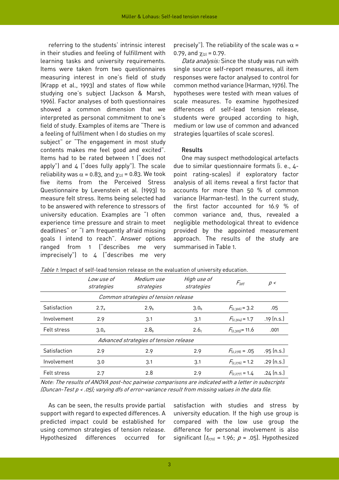referring to the students' intrinsic interest in their studies and feeling of fulfillment with learning tasks and university requirements. Items were taken from two questionnaires measuring interest in one's field of study (Krapp et al., 1993) and states of flow while studying one's subject (Jackson & Marsh, 1996). Factor analyses of both questionnaires showed a common dimension that we interpreted as personal commitment to one's field of study. Examples of items are "There is a feeling of fulfilment when I do studies on my subject" or "The engagement in most study contents makes me feel good and excited". Items had to be rated between 1 ("does not apply") and  $4$  ("does fully apply"). The scale reliability was  $\alpha$  = 0.83, and  $\gamma_{2}$  = 0.83. We took five items from the Perceived Stress Questionnaire by Levenstein et al. (1993) to measure felt stress. Items being selected had to be answered with reference to stressors of university education. Examples are "I often experience time pressure and strain to meet deadlines" or "I am frequently afraid missing goals I intend to reach". Answer options ranged from 1 ("describes me very imprecisely") to 4 ("describes me very

precisely"). The reliability of the scale was  $\alpha$  = 0.79, and  $\chi_{[2]} = 0.79$ .

Data analysis: Since the study was run with single source self-report measures, all item responses were factor analysed to control for common method variance (Harman, 1976). The hypotheses were tested with mean values of scale measures. To examine hypothesized differences of self-lead tension release, students were grouped according to high, medium or low use of common and advanced strategies (quartiles of scale scores).

#### Results

One may suspect methodological artefacts due to similar questionnaire formats (i. e., 4 point rating-scales) if exploratory factor analysis of all items reveal a first factor that accounts for more than 50 % of common variance (Harman-test). In the current study, the first factor accounted for 16.9 % of common variance and, thus, revealed a negligible methodological threat to evidence provided by the appointed measurement approach. The results of the study are summarised in Table 1.

|                                        | Low use of<br>strategies | Medium use<br>strategies | High use of<br>strategies | $F_{\text{left}}$    | p<           |
|----------------------------------------|--------------------------|--------------------------|---------------------------|----------------------|--------------|
| Common strategies of tension release   |                          |                          |                           |                      |              |
| Satisfaction                           | 2.7a                     | 2.9 <sub>b</sub>         | 3.0 <sub>b</sub>          | $F_{2,306} = 3.2$    | .05          |
| Involvement                            | 2.9                      | 3.1                      | 3.1                       | $F_{[2,304]}$ = 1.7  | $.19$ (n.s.) |
| Felt stress                            | 3.0 <sub>a</sub>         | 2.8 <sub>b</sub>         | 2.6 <sub>c</sub>          | $F_{[2,305]}$ = 11.6 | .001         |
| Advanced strategies of tension release |                          |                          |                           |                      |              |
| Satisfaction                           | 2.9                      | 2.9                      | 2.9                       | $F_{2.2781} = .05$   | $.95$ (n.s.) |
| Involvement                            | 3.0                      | 3.1                      | 3.1                       | $F_{[2,276]} = 1.2$  | $.29$ (n.s.) |
| Felt stress                            | 2.7                      | 2.8                      | 2.9                       | $F_{[2.277]} = 1.4$  | .24 (n.s.)   |

Table 1: Impact of self-lead tension release on the evaluation of university education.

Note: The results of ANOVA post-hoc pairwise comparisons are indicated with a letter in subscripts (Duncan-Test p < .05); varying dfs of error-variance result from missing values in the data file.

As can be seen, the results provide partial support with regard to expected differences. A predicted impact could be established for using common strategies of tension release. Hypothesized differences occurred for

satisfaction with studies and stress by university education. If the high use group is compared with the low use group the difference for personal involvement is also significant  $(t<sub>(170)</sub> = 1.96; p = .05)$ . Hypothesized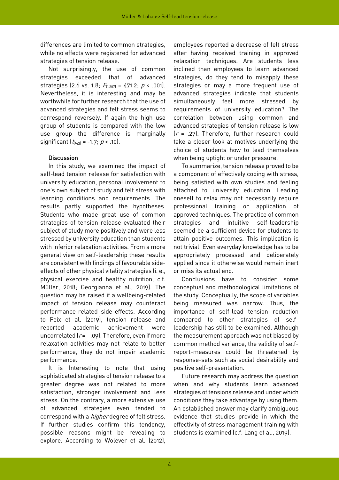differences are limited to common strategies, while no effects were registered for advanced strategies of tension release.

Not surprisingly, the use of common strategies exceeded that of advanced strategies (2.6 vs. 1.8;  $F_{1,307} = 471.2$ ;  $p < .001$ ). Nevertheless, it is interesting and may be worthwhile for further research that the use of advanced strategies and felt stress seems to correspond reversely. If again the high use group of students is compared with the low use group the difference is marginally significant  $(t<sub>143</sub>) = -1.7$ ;  $p < .10$ .

#### **Discussion**

In this study, we examined the impact of self-lead tension release for satisfaction with university education, personal involvement to one's own subject of study and felt stress with learning conditions and requirements. The results partly supported the hypotheses. Students who made great use of common strategies of tension release evaluated their subject of study more positively and were less stressed by university education than students with inferior relaxation activities. From a more general view on self-leadership these results are consistent with findings of favourable sideeffects of other physical vitality strategies (i. e., physical exercise and healthy nutrition, c.f. Müller, 2018; Georgianna et al., 2019). The question may be raised if a wellbeing-related impact of tension release may counteract performance-related side-effects. According to Feix et al. (2019), tension release and reported academic achievement were uncorrelated  $[r = -0.09]$ . Therefore, even if more relaxation activities may not relate to better performance, they do not impair academic performance.

It is Interesting to note that using sophisticated strategies of tension release to a greater degree was not related to more satisfaction, stronger involvement and less stress. On the contrary, a more extensive use of advanced strategies even tended to correspond with a *higher* degree of felt stress. If further studies confirm this tendency, possible reasons might be revealing to explore. According to Wolever et al. (2012),

employees reported a decrease of felt stress after having received training in approved relaxation techniques. Are students less inclined than employees to learn advanced strategies, do they tend to misapply these strategies or may a more frequent use of advanced strategies indicate that students simultaneously feel more stressed by requirements of university education? The correlation between using common and advanced strategies of tension release is low  $(r = .27)$ . Therefore, further research could take a closer look at motives underlying the choice of students how to lead themselves when being uptight or under pressure.

To summarize, tension release proved to be a component of effectively coping with stress, being satisfied with own studies and feeling attached to university education. Leading oneself to relax may not necessarily require professional training or application of approved techniques. The practice of common strategies and intuitive self-leadership seemed be a sufficient device for students to attain positive outcomes. This implication is not trivial. Even everyday knowledge has to be appropriately processed and deliberately applied since it otherwise would remain inert or miss its actual end.

Conclusions have to consider some conceptual and methodological limitations of the study. Conceptually, the scope of variables being measured was narrow. Thus, the importance of self-lead tension reduction compared to other strategies of selfleadership has still to be examined. Although the measurement approach was not biased by common method variance, the validity of selfreport-measures could be threatened by response-sets such as social desirability and positive self-presentation.

Future research may address the question when and why students learn advanced strategies of tensions release and under which conditions they take advantage by using them. An established answer may clarify ambiguous evidence that studies provide in which the effectivity of stress management training with students is examined (c.f. Lang et al., 2019).